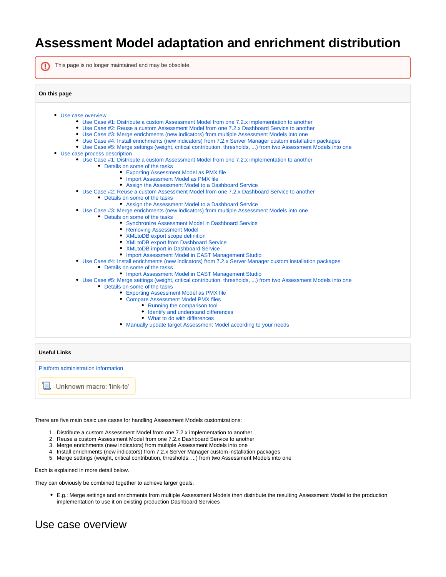# **Assessment Model adaptation and enrichment distribution**

| This page is no longer maintained and may be obsolete.                                                                                                                 |
|------------------------------------------------------------------------------------------------------------------------------------------------------------------------|
| On this page                                                                                                                                                           |
| • Use case overview                                                                                                                                                    |
| • Use Case #1: Distribute a custom Assessment Model from one 7.2.x implementation to another                                                                           |
| • Use Case #2: Reuse a custom Assessment Model from one 7.2.x Dashboard Service to another                                                                             |
| • Use Case #3: Merge enrichments (new indicators) from multiple Assessment Models into one                                                                             |
| • Use Case #4: Install enrichments (new indicators) from 7.2.x Server Manager custom installation packages                                                             |
| • Use Case #5: Merge settings (weight, critical contribution, thresholds, ) from two Assessment Models into one                                                        |
| • Use case process description                                                                                                                                         |
| • Use Case #1: Distribute a custom Assessment Model from one 7.2.x implementation to another                                                                           |
| • Details on some of the tasks                                                                                                                                         |
| • Exporting Assessment Model as PMX file                                                                                                                               |
| • Import Assessment Model as PMX file                                                                                                                                  |
| • Assign the Assessment Model to a Dashboard Service                                                                                                                   |
| • Use Case #2: Reuse a custom Assessment Model from one 7.2.x Dashboard Service to another                                                                             |
| • Details on some of the tasks                                                                                                                                         |
| • Assign the Assessment Model to a Dashboard Service                                                                                                                   |
| • Use Case #3: Merge enrichments (new indicators) from multiple Assessment Models into one                                                                             |
| • Details on some of the tasks                                                                                                                                         |
| • Synchronize Assessment Model in Dashboard Service                                                                                                                    |
| • Removing Assessment Model                                                                                                                                            |
| • XMLtoDB export scope definition                                                                                                                                      |
| • XMLtoDB export from Dashboard Service                                                                                                                                |
| • XMLtoDB import in Dashboard Service                                                                                                                                  |
| • Import Assessment Model in CAST Management Studio                                                                                                                    |
| • Use Case #4: Install enrichments (new indicators) from 7.2.x Server Manager custom installation packages                                                             |
| • Details on some of the tasks                                                                                                                                         |
| • Import Assessment Model in CAST Management Studio<br>• Use Case #5: Merge settings (weight, critical contribution, thresholds, ) from two Assessment Models into one |
| • Details on some of the tasks                                                                                                                                         |
| • Exporting Assessment Model as PMX file                                                                                                                               |
| • Compare Assessment Model PMX files                                                                                                                                   |
| • Running the comparison tool                                                                                                                                          |
| • Identify and understand differences                                                                                                                                  |
| • What to do with differences                                                                                                                                          |
| • Manually update target Assessment Model according to your needs                                                                                                      |
|                                                                                                                                                                        |
|                                                                                                                                                                        |
| <b>Useful Links</b>                                                                                                                                                    |
| Platform administration information                                                                                                                                    |

Unknown macro: 'link-to'

There are five main basic use cases for handling Assessment Models customizations:

- 1. Distribute a custom Assessment Model from one 7.2.x implementation to another
- 2. Reuse a custom Assessment Model from one 7.2.x Dashboard Service to another
- 3. Merge enrichments (new indicators) from multiple Assessment Models into one
- 4. Install enrichments (new indicators) from 7.2.x Server Manager custom installation packages
- 5. Merge settings (weight, critical contribution, thresholds, ...) from two Assessment Models into one

Each is explained in more detail below.

They can obviously be combined together to achieve larger goals:

E.g.: Merge settings and enrichments from multiple Assessment Models then distribute the resulting Assessment Model to the production implementation to use it on existing production Dashboard Services

# <span id="page-0-1"></span><span id="page-0-0"></span>Use case overview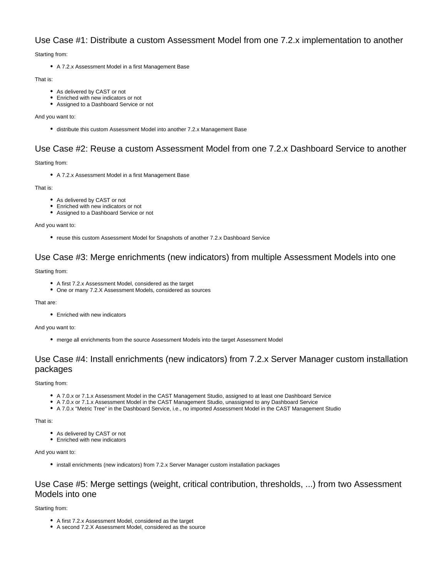# Use Case #1: Distribute a custom Assessment Model from one 7.2.x implementation to another

Starting from:

A 7.2.x Assessment Model in a first Management Base

### That is:

- As delivered by CAST or not
- **Enriched with new indicators or not**
- Assigned to a Dashboard Service or not

### And you want to:

distribute this custom Assessment Model into another 7.2.x Management Base

# <span id="page-1-0"></span>Use Case #2: Reuse a custom Assessment Model from one 7.2.x Dashboard Service to another

Starting from:

A 7.2.x Assessment Model in a first Management Base

That is:

- As delivered by CAST or not
- Enriched with new indicators or not
- Assigned to a Dashboard Service or not

And you want to:

• reuse this custom Assessment Model for Snapshots of another 7.2.x Dashboard Service

# <span id="page-1-1"></span>Use Case #3: Merge enrichments (new indicators) from multiple Assessment Models into one

### Starting from:

- A first 7.2.x Assessment Model, considered as the target
- One or many 7.2.X Assessment Models, considered as sources

### That are:

Enriched with new indicators

### And you want to:

merge all enrichments from the source Assessment Models into the target Assessment Model

# <span id="page-1-2"></span>Use Case #4: Install enrichments (new indicators) from 7.2.x Server Manager custom installation packages

### Starting from:

- A 7.0.x or 7.1.x Assessment Model in the CAST Management Studio, assigned to at least one Dashboard Service
- A 7.0.x or 7.1.x Assessment Model in the CAST Management Studio, unassigned to any Dashboard Service
- A 7.0.x "Metric Tree" in the Dashboard Service, i.e., no imported Assessment Model in the CAST Management Studio

### That is:

- As delivered by CAST or not
- Enriched with new indicators

### And you want to:

• install enrichments (new indicators) from 7.2.x Server Manager custom installation packages

# <span id="page-1-3"></span>Use Case #5: Merge settings (weight, critical contribution, thresholds, ...) from two Assessment Models into one

### Starting from:

- A first 7.2.x Assessment Model, considered as the target
- A second 7.2.X Assessment Model, considered as the source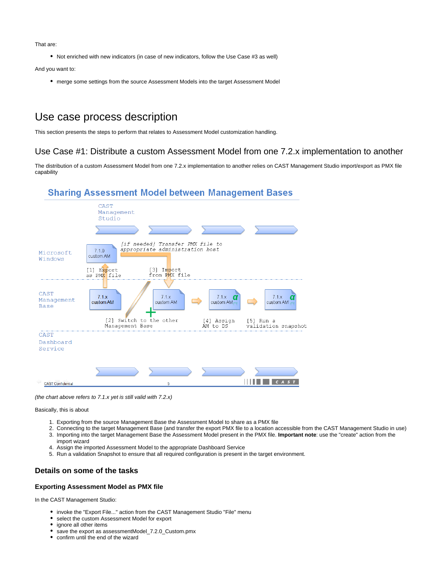That are:

Not enriched with new indicators (in case of new indicators, follow the Use Case #3 as well)

And you want to:

merge some settings from the source Assessment Models into the target Assessment Model

# <span id="page-2-0"></span>Use case process description

This section presents the steps to perform that relates to Assessment Model customization handling.

# <span id="page-2-1"></span>Use Case #1: Distribute a custom Assessment Model from one 7.2.x implementation to another

The distribution of a custom Assessment Model from one 7.2.x implementation to another relies on CAST Management Studio import/export as PMX file capability

# **Sharing Assessment Model between Management Bases**



(the chart above refers to 7.1.x yet is still valid with 7.2.x)

Basically, this is about

- 1. Exporting from the source Management Base the Assessment Model to share as a PMX file
- 2. Connecting to the target Management Base (and transfer the export PMX file to a location accessible from the CAST Management Studio in use)
- 3. Importing into the target Management Base the Assessment Model present in the PMX file. **Important note**: use the "create" action from the import wizard
- 4. Assign the imported Assessment Model to the appropriate Dashboard Service
- 5. Run a validation Snapshot to ensure that all required configuration is present in the target environment.

# <span id="page-2-2"></span>**Details on some of the tasks**

### <span id="page-2-3"></span>**Exporting Assessment Model as PMX file**

In the CAST Management Studio:

- invoke the "Export File..." action from the CAST Management Studio "File" menu
- select the custom Assessment Model for export
- $\bullet$ ignore all other items
- save the export as assessmentModel\_7.2.0\_Custom.pmx
- confirm until the end of the wizard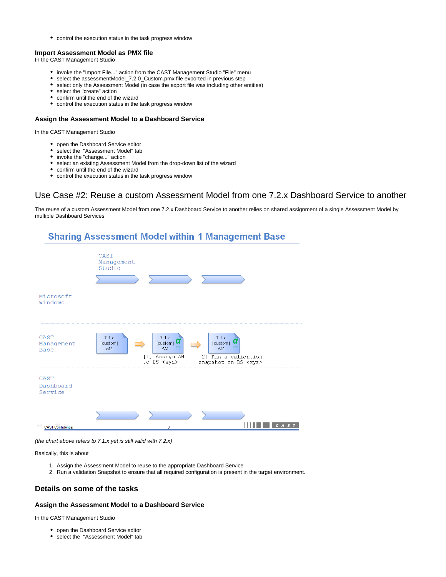control the execution status in the task progress window

### <span id="page-3-0"></span>**Import Assessment Model as PMX file**

In the CAST Management Studio

- invoke the "Import File..." action from the CAST Management Studio "File" menu
- select the assessmentModel\_7.2.0\_Custom.pmx file exported in previous step
- $\bullet$ select only the Assessment Model (in case the export file was including other entities)
- select the "create" action
- confirm until the end of the wizard
- control the execution status in the task progress window

### <span id="page-3-1"></span>**Assign the Assessment Model to a Dashboard Service**

In the CAST Management Studio

- open the Dashboard Service editor
- select the "Assessment Model" tab
- invoke the "change..." action
- select an existing Assessment Model from the drop-down list of the wizard
- confirm until the end of the wizard
- control the execution status in the task progress window

# <span id="page-3-2"></span>Use Case #2: Reuse a custom Assessment Model from one 7.2.x Dashboard Service to another

The reuse of a custom Assessment Model from one 7.2.x Dashboard Service to another relies on shared assignment of a single Assessment Model by multiple Dashboard Services



(the chart above refers to 7.1.x yet is still valid with 7.2.x)

#### Basically, this is about

- 1. Assign the Assessment Model to reuse to the appropriate Dashboard Service
- 2. Run a validation Snapshot to ensure that all required configuration is present in the target environment.

## <span id="page-3-3"></span>**Details on some of the tasks**

#### <span id="page-3-4"></span>**Assign the Assessment Model to a Dashboard Service**

In the CAST Management Studio

- open the Dashboard Service editor
- select the "Assessment Model" tab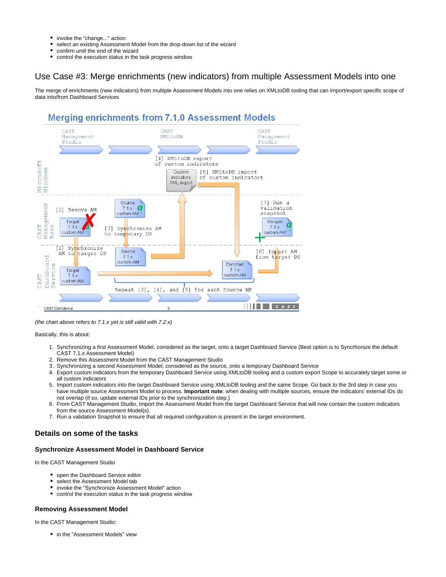- invoke the "change..." action  $\bullet$
- select an existing Assessment Model from the drop-down list of the wizard
- confirm until the end of the wizard
- $\bullet$ control the execution status in the task progress window

# <span id="page-4-0"></span>Use Case #3: Merge enrichments (new indicators) from multiple Assessment Models into one

The merge of enrichments (new indicators) from multiple Assessment Models into one relies on XMLtoDB tooling that can import/export specific scope of data into/from Dashboard Services

# **Merging enrichments from 7.1.0 Assessment Models**



(the chart above refers to 7.1.x yet is still valid with 7.2.x)

Basically, this is about:

- 1. Synchronizing a first Assessment Model, considered as the target, onto a target Dashboard Service (Best option is to Syncrhonize the default CAST 7.1.x Assessment Model)
- 2. Remove this Assessment Model from the CAST Management Studio
- 3. Synchronizing a second Assessment Model, considered as the source, onto a temporary Dashboard Service
- 4. Export custom indicators from the temporary Dashboard Service using XMLtoDB tooling and a custom export Scope to accurately target some or all custom indicators
- 5. Import custom indicators into the target Dashboard Service using XMLtoDB tooling and the same Scope. Go back to the 3rd step in case you have multiple source Assessment Model to process. **Important note**: when dealing with multiple sources, ensure the indicators' external IDs do not overlap (if so, update external IDs prior to the synchronization step.)
- 6. From CAST Management Studio, Import the Assessment Model from the target Dashboard Service that will now contain the custom indicators from the source Assessment Model(s).
- 7. Run a validation Snapshot to ensure that all required configuration is present in the target environment.

# <span id="page-4-1"></span>**Details on some of the tasks**

### <span id="page-4-2"></span>**Synchronize Assessment Model in Dashboard Service**

In the CAST Management Studio

- open the Dashboard Service editor
- select the Assessment Model tab
- invoke the "Synchronize Assessment Model" action
- control the execution status in the task progress window

## <span id="page-4-3"></span>**Removing Assessment Model**

In the CAST Management Studio:

• in the "Assessment Models" view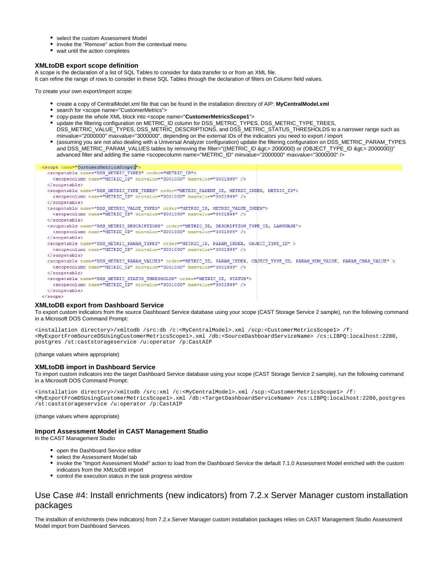- select the custom Assessment Model
- invoke the "Remove" action from the contextual menu
- wait until the action completes

#### <span id="page-5-0"></span>**XMLtoDB export scope definition**

A scope is the declaration of a list of SQL Tables to consider for data transfer to or from an XML file.

It can refine the range of rows to consider in these SQL Tables through the declaration of filters on Column field values.

To create your own export/import scope:

- create a copy of CentralModel.xml file that can be found in the installation directory of AIP: **MyCentralModel.xml**
- search for <scope name="CustomerMetrics">
- copy-paste the whole XML block into <scope name="**CustomerMetricsScope1**">
- update the filtering configuration on METRIC\_ID column for DSS\_METRIC\_TYPES, DSS\_METRIC\_TYPE\_TREES, DSS\_METRIC\_VALUE\_TYPES, DSS\_METRIC\_DESCRIPTIONS, and DSS\_METRIC\_STATUS\_THRESHOLDS to a narrower range such as minvalue="2000000" maxvalue="3000000", depending on the external IDs of the indicators you need to export / import
- (assuming you are not also dealing with a Universal Analyzer configuration) update the filtering configuration on DSS\_METRIC\_PARAM\_TYPES and DSS\_METRIC\_PARAM\_VALUES tables by removing the filter="((METRIC\_ID >= 2000000) or (OBJECT\_TYPE\_ID >= 2000000))" advanced filter and adding the same <scopecolumn name="METRIC\_ID" minvalue="2000000" maxvalue="3000000" />

<scope name="CustomerMetricsScope1"> <scopetable name="DSS METRIC TYPES" order="METRIC ID"> <scopecolumn name="METRIC ID" minvalue="3001000" maxvalue="3001999" /> </scopetable> <scopetable name="DSS METRIC TYPE TREES" order="METRIC PARENT ID, METRIC INDEX, METRIC ID"> <scopecolumn name="METRIC ID" minvalue="3001000" maxvalue="3001999" /> </scopetable> <scopetable name="DSS METRIC VALUE TYPES" order="METRIC ID, METRIC VALUE INDEX"> <scopecolumn name="METRIC ID" minvalue="3001000" maxvalue="3001999" /> </scopetable> <scopetable name="DSS METRIC DESCRIPTIONS" order="METRIC ID, DESCRIPTION TYPE ID, LANGUAGE"> <scopecolumn name="METRIC\_ID" minvalue="3001000" maxvalue="3001999" /> </scopetable> <scopetable name="DSS\_METRIC\_PARAM\_TYPES" order="METRIC\_ID, PARAM\_INDEX, OBJECT\_TYPE\_ID" > <scopecolumn name="METRIC\_ID" minvalue="3001000" maxvalue="3001999" /> </scopetable> <scopetable name="DSS\_METRIC\_PARAM\_VALUES" order="METRIC\_ID, PARAM\_INDEX, OBJECT\_TYPE\_ID, PARAM\_NUM\_VALUE, PARAM\_CHAR\_VALUE" > <scopecolumn name="METRIC ID" minvalue="3001000" maxvalue="3001999" /> </scopetable> <scopetable name="DSS\_METRIC\_STATUS\_THRESHOLDS" order="METRIC\_ID, STATUS"> <scopecolumn name="METRIC\_ID" minvalue="3001000" maxvalue="3001999" /> </scopetable> </scope>

#### <span id="page-5-1"></span>**XMLtoDB export from Dashboard Service**

To export custom indicators from the source Dashboard Service database using your scope (CAST Storage Service 2 sample), run the following command in a Microsoft DOS Command Prompt:

<installation directory>/xmltodb /src:db /c:<MyCentralModel>.xml /scp:<CustomerMetricsScope1> /f: <MyExportFromSourceDSUsingCustomerMetricsScope1>.xml /db:<SourceDashboardServiceName> /cs:LIBPQ:localhost:2280, postgres /st:caststorageservice /u:operator /p:CastAIP

(change values where appropriate)

### <span id="page-5-2"></span>**XMLtoDB import in Dashboard Service**

To import custom indicators into the target Dashboard Service database using your scope (CAST Storage Service 2 sample), run the following command in a Microsoft DOS Command Prompt:

<installation directory>/xmltodb /src:xml /c:<MyCentralModel>.xml /scp:<CustomerMetricsScope1> /f: <MyExportFromDSUsingCustomerMetricsScope1>.xml /db:<TargetDashboardServiceName> /cs:LIBPQ:localhost:2280,postgres /st:caststorageservice /u:operator /p:CastAIP

(change values where appropriate)

### <span id="page-5-3"></span>**Import Assessment Model in CAST Management Studio**

In the CAST Management Studio

- open the Dashboard Service editor
- select the Assessment Model tab
- invoke the "Import Assessment Model" action to load from the Dashboard Service the default 7.1.0 Assessment Model enriched with the custom indicators from the XMLtoDB import
- control the execution status in the task progress window

# <span id="page-5-4"></span>Use Case #4: Install enrichments (new indicators) from 7.2.x Server Manager custom installation packages

The installion of enrichments (new indicators) from 7.2.x Server Manager custom installation packages relies on CAST Management Studio Assessment Model import from Dashboard Services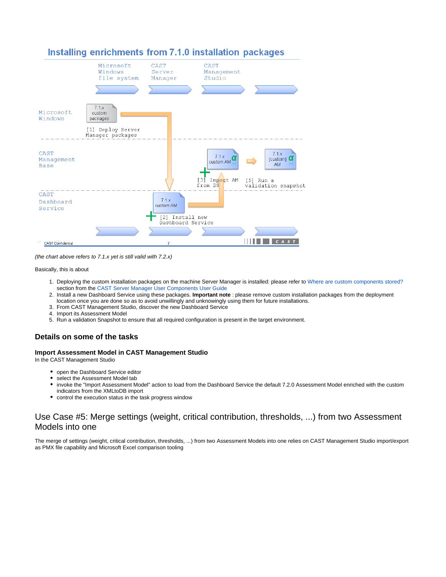

# Installing enrichments from 7.1.0 installation packages

(the chart above refers to 7.1.x yet is still valid with 7.2.x)

#### Basically, this is about

- 1. Deploying the custom installation packages on the machine Server Manager is installed: please refer to [Where are custom components stored?](http://doc.castsoftware.com/help/topic/current/Overview.html#Overview-Wherearecustomcomponentsstored) section from the [CAST Server Manager User Components User Guide](http://doc.castsoftware.com/help/topic/current/CAST%20Server%20Manager%20User%20Components%20User%20Guide.html)
- 2. Install a new Dashboard Service using these packages. **Important note** : please remove custom installation packages from the deployment location once you are done so as to avoid unwillingly and unknowingly using them for future installations.
- 3. From CAST Management Studio, discover the new Dashboard Service
- 4. Import its Assessment Model
- 5. Run a validation Snapshot to ensure that all required configuration is present in the target environment.

# <span id="page-6-0"></span>**Details on some of the tasks**

## <span id="page-6-1"></span>**Import Assessment Model in CAST Management Studio**

In the CAST Management Studio

- open the Dashboard Service editor
- $\bullet$ select the Assessment Model tab
- $\bullet$ invoke the "Import Assessment Model" action to load from the Dashboard Service the default 7.2.0 Assessment Model enriched with the custom indicators from the XMLtoDB import
- control the execution status in the task progress window

# <span id="page-6-2"></span>Use Case #5: Merge settings (weight, critical contribution, thresholds, ...) from two Assessment Models into one

The merge of settings (weight, critical contribution, thresholds, ...) from two Assessment Models into one relies on CAST Management Studio import/export as PMX file capability and Microsoft Excel comparison tooling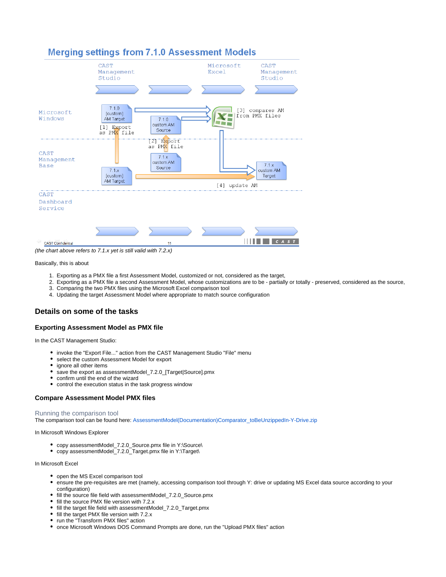

(the chart above refers to 7.1.x yet is still valid with 7.2.x)

#### Basically, this is about

- 1. Exporting as a PMX file a first Assessment Model, customized or not, considered as the target,
- 2. Exporting as a PMX file a second Assessment Model, whose customizations are to be partially or totally preserved, considered as the source,
- 3. Comparing the two PMX files using the Microsoft Excel comparison tool
- 4. Updating the target Assessment Model where appropriate to match source configuration

## <span id="page-7-0"></span>**Details on some of the tasks**

#### <span id="page-7-1"></span>**Exporting Assessment Model as PMX file**

In the CAST Management Studio:

- invoke the "Export File..." action from the CAST Management Studio "File" menu
- select the custom Assessment Model for export
- $\bullet$ ignore all other items
- save the export as assessmentModel\_7.2.0\_[Target|Source].pmx
- confirm until the end of the wizard
- control the execution status in the task progress window

### <span id="page-7-2"></span>**Compare Assessment Model PMX files**

#### <span id="page-7-3"></span>Running the comparison tool

The comparison tool can be found here: AssessmentModel(Documentation)Comparator\_toBeUnzippedIn-Y-Drive.zip

In Microsoft Windows Explorer

- copy assessmentModel\_7.2.0\_Source.pmx file in Y:\Source\
- copy assessmentModel\_7.2.0\_Target.pmx file in Y:\Target\

### In Microsoft Excel

- open the MS Excel comparison tool
- ensure the pre-requisites are met (namely, accessing comparison tool through Y: drive or updating MS Excel data source according to your configuration)
- fill the source file field with assessmentModel\_7.2.0\_Source.pmx
- fill the source PMX file version with 7.2.x
- fill the target file field with assessmentModel 7.2.0 Target.pmx
- fill the target PMX file version with 7.2.x
- run the "Transform PMX files" action
- <span id="page-7-4"></span>• once Microsoft Windows DOS Command Prompts are done, run the "Upload PMX files" action

# **Merging settings from 7.1.0 Assessment Models**